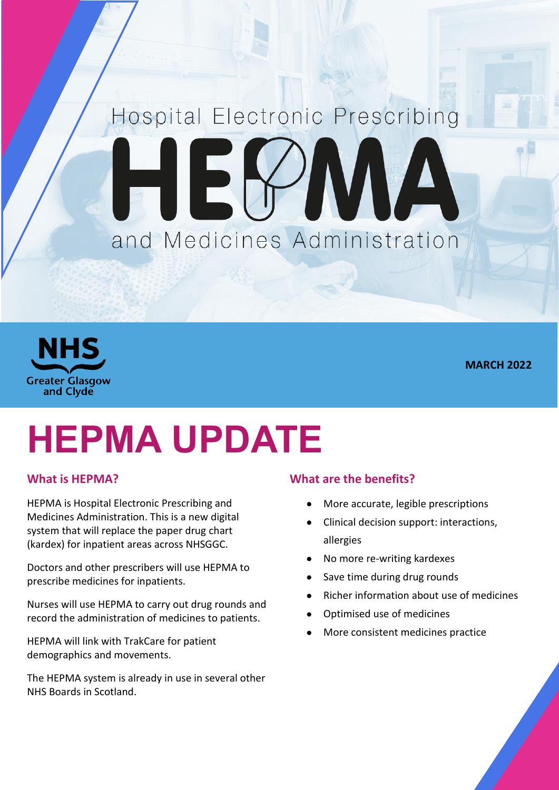## Hospital Electronic Prescribing IEK AVAN and Medicines Administration



**MARCH 2022**

# **HEPMA UPDATE**

#### **What is HEPMA?**

HEPMA is Hospital Electronic Prescribing and Medicines Administration. This is a new digital system that will replace the paper drug chart (kardex) for inpatient areas across NHSGGC.

Doctors and other prescribers will use HEPMA to prescribe medicines for inpatients.

Nurses will use HEPMA to carry out drug rounds and record the administration of medicines to patients.

HEPMA will link with TrakCare for patient demographics and movements.

The HEPMA system is already in use in several other NHS Boards in Scotland.

#### **What are the benefits?**

- More accurate, legible prescriptions
- Clinical decision support: interactions, allergies
- No more re-writing kardexes
- Save time during drug rounds
- Richer information about use of medicines
- Optimised use of medicines
- More consistent medicines practice